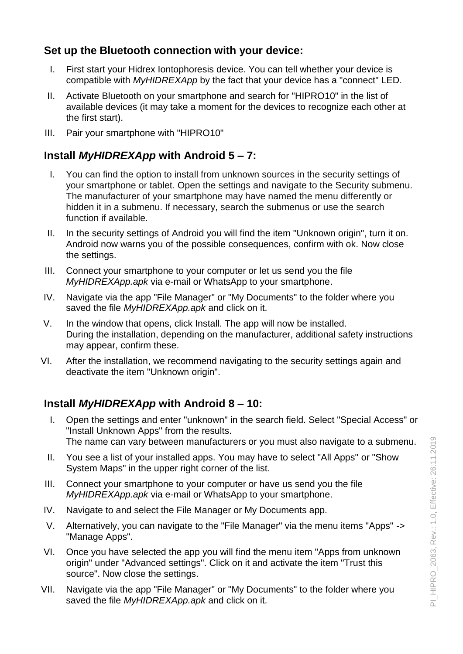# **Set up the Bluetooth connection with your device:**

- I. First start your Hidrex Iontophoresis device. You can tell whether your device is compatible with *MyHIDREXApp* by the fact that your device has a "connect" LED.
- II. Activate Bluetooth on your smartphone and search for "HIPRO10" in the list of available devices (it may take a moment for the devices to recognize each other at the first start).
- III. Pair your smartphone with "HIPRO10"

# **Install** *MyHIDREXApp* **with Android 5 – 7:**

- I. You can find the option to install from unknown sources in the security settings of your smartphone or tablet. Open the settings and navigate to the Security submenu. The manufacturer of your smartphone may have named the menu differently or hidden it in a submenu. If necessary, search the submenus or use the search function if available.
- II. In the security settings of Android you will find the item "Unknown origin", turn it on. Android now warns you of the possible consequences, confirm with ok. Now close the settings.
- III. Connect your smartphone to your computer or let us send you the file *MyHIDREXApp.apk* via e-mail or WhatsApp to your smartphone.
- IV. Navigate via the app "File Manager" or "My Documents" to the folder where you saved the file *MyHIDREXApp.apk* and click on it.
- V. In the window that opens, click Install. The app will now be installed. During the installation, depending on the manufacturer, additional safety instructions may appear, confirm these.
- VI. After the installation, we recommend navigating to the security settings again and deactivate the item "Unknown origin".

# **Install** *MyHIDREXApp* **with Android 8 – 10:**

- I. Open the settings and enter "unknown" in the search field. Select "Special Access" or "Install Unknown Apps" from the results. The name can vary between manufacturers or you must also navigate to a submenu.
- II. You see a list of your installed apps. You may have to select "All Apps" or "Show System Maps" in the upper right corner of the list.
- III. Connect your smartphone to your computer or have us send you the file *MyHIDREXApp.apk* via e-mail or WhatsApp to your smartphone.
- IV. Navigate to and select the File Manager or My Documents app.
- V. Alternatively, you can navigate to the "File Manager" via the menu items "Apps" -> "Manage Apps".
- VI. Once you have selected the app you will find the menu item "Apps from unknown origin" under "Advanced settings". Click on it and activate the item "Trust this source". Now close the settings.
- VII. Navigate via the app "File Manager" or "My Documents" to the folder where you saved the file *MyHIDREXApp.apk* and click on it.